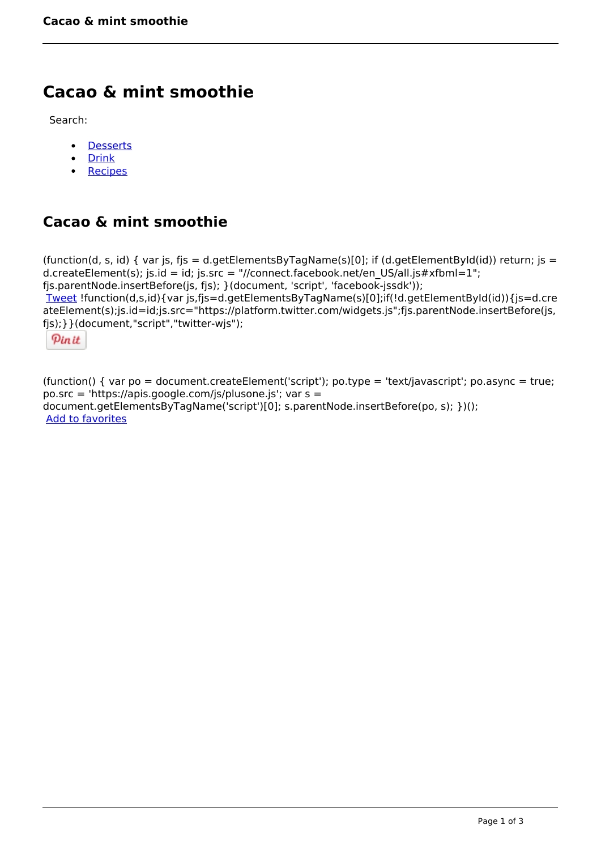## **Cacao & mint smoothie**

Search:

- **[Desserts](https://www.naturalhealthmag.com.au/nourish/desserts)**  $\bullet$
- [Drink](https://www.naturalhealthmag.com.au/nourish/drinks)  $\bullet$
- **[Recipes](https://www.naturalhealthmag.com.au/nourish/recipes)**  $\bullet$

## **Cacao & mint smoothie**

```
(function(d, s, id) { var js, fjs = d.getElementsByTagName(s)[0]; if (d.getElementById(id)) return; js =
d.createElement(s); js.id = id; js.src = "//connect.facebook.net/en_US/all.js#xfbml=1";
fjs.parentNode.insertBefore(js, fjs); }(document, 'script', 'facebook-jssdk')); 
Tweet !function(d,s,id){var js,fjs=d.getElementsByTagName(s)[0];if(!d.getElementById(id)){js=d.cre
ateElement(s);js.id=id;js.src="https://platform.twitter.com/widgets.js";fjs.parentNode.insertBefore(js,
fjs);}}(document,"script","twitter-wjs"); 
 Pin it
```
(function() { var po = document.createElement('script'); po.type = 'text/javascript'; po.async = true; po.src = 'https://apis.google.com/js/plusone.js'; var s = document.getElementsByTagName('script')[0]; s.parentNode.insertBefore(po, s); })(); Add to favorites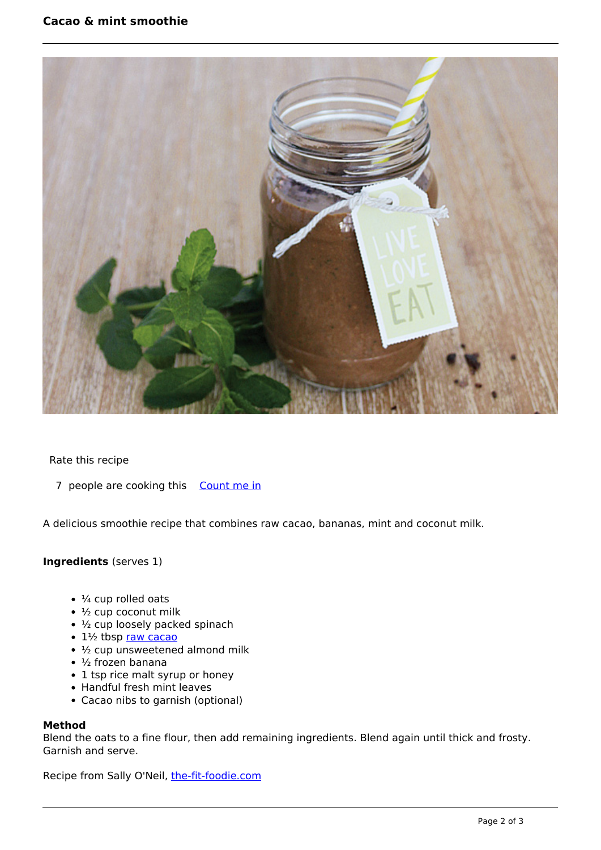

Rate this recipe

7 people are cooking this [Count me in](https://www.naturalhealthmag.com.au/flag/flag/favorites/995?destination=printpdf%2F995&token=f60bab088c0c0670bde5f4f44f0f52ce)

A delicious smoothie recipe that combines raw cacao, bananas, mint and coconut milk.

## **Ingredients** (serves 1)

- $\cdot$   $\frac{1}{4}$  cup rolled oats
- $\cdot$   $\frac{1}{2}$  cup coconut milk
- ½ cup loosely packed spinach
- 1½ tbsp [raw cacao](http://www.naturalhealthmag.com.au/nourish/raw-chocolate-buds-vegan)
- $\cdot$   $\frac{1}{2}$  cup unsweetened almond milk
- $\cdot$  1/2 frozen banana
- 1 tsp rice malt syrup or honey
- Handful fresh mint leaves
- Cacao nibs to garnish (optional)

## **Method**

Blend the oats to a fine flour, then add remaining ingredients. Blend again until thick and frosty. Garnish and serve.

Recipe from Sally O'Neil, [the-fit-foodie.com](http://the-fit-foodie.com/)